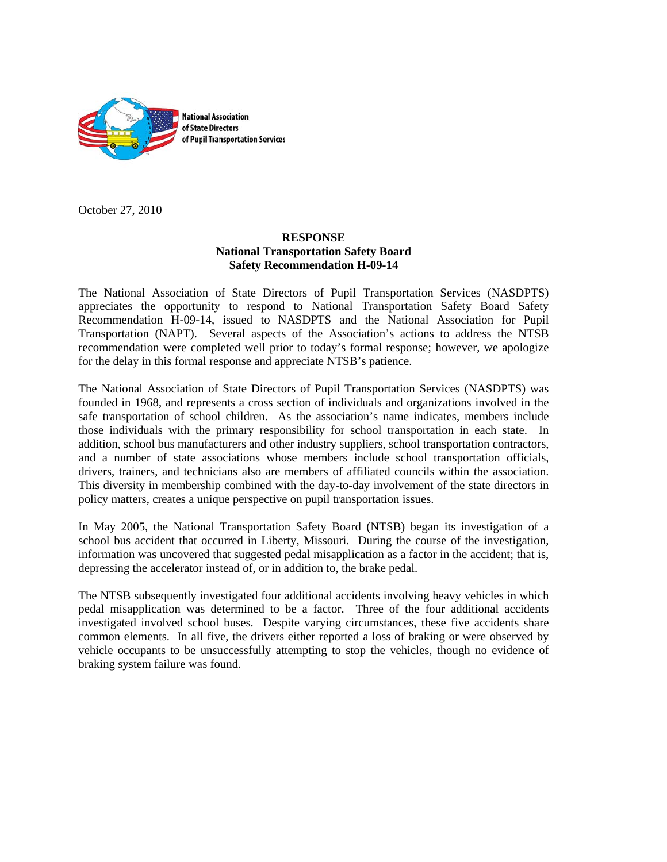

October 27, 2010

# **RESPONSE National Transportation Safety Board Safety Recommendation H-09-14**

The National Association of State Directors of Pupil Transportation Services (NASDPTS) appreciates the opportunity to respond to National Transportation Safety Board Safety Recommendation H-09-14, issued to NASDPTS and the National Association for Pupil Transportation (NAPT). Several aspects of the Association's actions to address the NTSB recommendation were completed well prior to today's formal response; however, we apologize for the delay in this formal response and appreciate NTSB's patience.

The National Association of State Directors of Pupil Transportation Services (NASDPTS) was founded in 1968, and represents a cross section of individuals and organizations involved in the safe transportation of school children. As the association's name indicates, members include those individuals with the primary responsibility for school transportation in each state. In addition, school bus manufacturers and other industry suppliers, school transportation contractors, and a number of state associations whose members include school transportation officials, drivers, trainers, and technicians also are members of affiliated councils within the association. This diversity in membership combined with the day-to-day involvement of the state directors in policy matters, creates a unique perspective on pupil transportation issues.

In May 2005, the National Transportation Safety Board (NTSB) began its investigation of a school bus accident that occurred in Liberty, Missouri. During the course of the investigation, information was uncovered that suggested pedal misapplication as a factor in the accident; that is, depressing the accelerator instead of, or in addition to, the brake pedal.

The NTSB subsequently investigated four additional accidents involving heavy vehicles in which pedal misapplication was determined to be a factor. Three of the four additional accidents investigated involved school buses. Despite varying circumstances, these five accidents share common elements. In all five, the drivers either reported a loss of braking or were observed by vehicle occupants to be unsuccessfully attempting to stop the vehicles, though no evidence of braking system failure was found.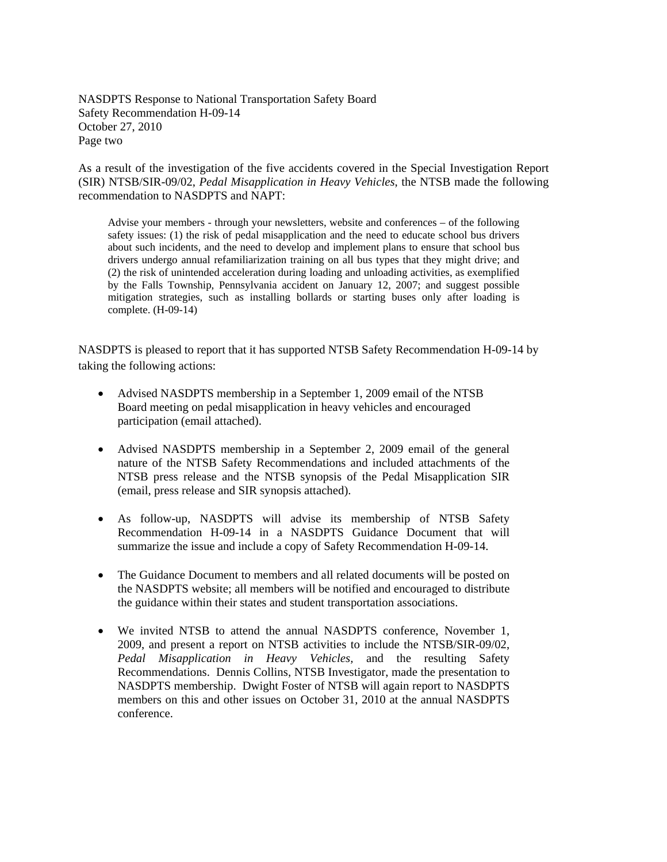NASDPTS Response to National Transportation Safety Board Safety Recommendation H-09-14 October 27, 2010 Page two

As a result of the investigation of the five accidents covered in the Special Investigation Report (SIR) NTSB/SIR-09/02, *Pedal Misapplication in Heavy Vehicles*, the NTSB made the following recommendation to NASDPTS and NAPT:

Advise your members - through your newsletters, website and conferences – of the following safety issues: (1) the risk of pedal misapplication and the need to educate school bus drivers about such incidents, and the need to develop and implement plans to ensure that school bus drivers undergo annual refamiliarization training on all bus types that they might drive; and (2) the risk of unintended acceleration during loading and unloading activities, as exemplified by the Falls Township, Pennsylvania accident on January 12, 2007; and suggest possible mitigation strategies, such as installing bollards or starting buses only after loading is complete. (H-09-14)

NASDPTS is pleased to report that it has supported NTSB Safety Recommendation H-09-14 by taking the following actions:

- Advised NASDPTS membership in a September 1, 2009 email of the NTSB Board meeting on pedal misapplication in heavy vehicles and encouraged participation (email attached).
- Advised NASDPTS membership in a September 2, 2009 email of the general nature of the NTSB Safety Recommendations and included attachments of the NTSB press release and the NTSB synopsis of the Pedal Misapplication SIR (email, press release and SIR synopsis attached).
- As follow-up, NASDPTS will advise its membership of NTSB Safety Recommendation H-09-14 in a NASDPTS Guidance Document that will summarize the issue and include a copy of Safety Recommendation H-09-14.
- The Guidance Document to members and all related documents will be posted on the NASDPTS website; all members will be notified and encouraged to distribute the guidance within their states and student transportation associations.
- We invited NTSB to attend the annual NASDPTS conference, November 1, 2009, and present a report on NTSB activities to include the NTSB/SIR-09/02, *Pedal Misapplication in Heavy Vehicles,* and the resulting Safety Recommendations. Dennis Collins, NTSB Investigator, made the presentation to NASDPTS membership. Dwight Foster of NTSB will again report to NASDPTS members on this and other issues on October 31, 2010 at the annual NASDPTS conference.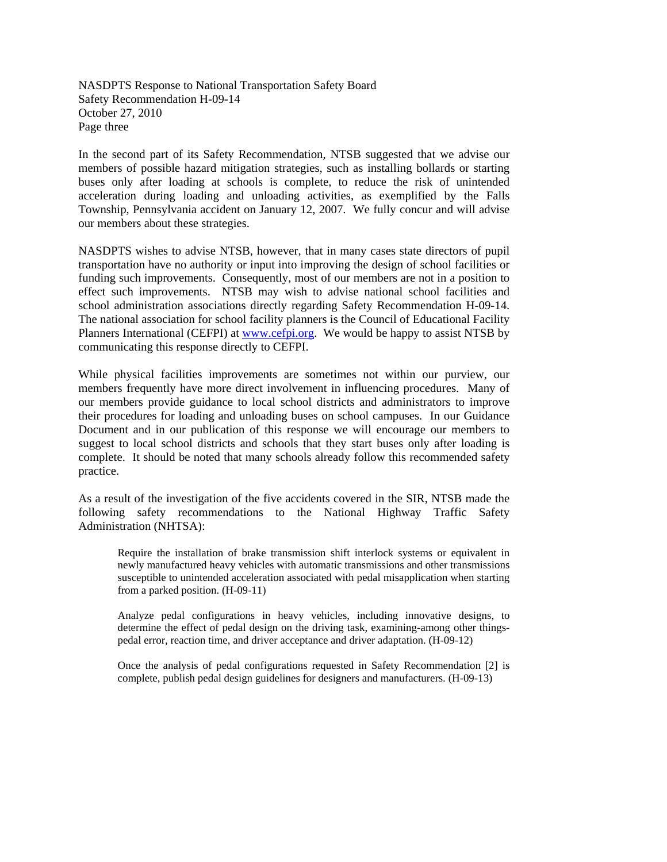NASDPTS Response to National Transportation Safety Board Safety Recommendation H-09-14 October 27, 2010 Page three

In the second part of its Safety Recommendation, NTSB suggested that we advise our members of possible hazard mitigation strategies, such as installing bollards or starting buses only after loading at schools is complete, to reduce the risk of unintended acceleration during loading and unloading activities, as exemplified by the Falls Township, Pennsylvania accident on January 12, 2007. We fully concur and will advise our members about these strategies.

NASDPTS wishes to advise NTSB, however, that in many cases state directors of pupil transportation have no authority or input into improving the design of school facilities or funding such improvements. Consequently, most of our members are not in a position to effect such improvements. NTSB may wish to advise national school facilities and school administration associations directly regarding Safety Recommendation H-09-14. The national association for school facility planners is the Council of Educational Facility Planners International (CEFPI) at www.cefpi.org. We would be happy to assist NTSB by communicating this response directly to CEFPI.

While physical facilities improvements are sometimes not within our purview, our members frequently have more direct involvement in influencing procedures. Many of our members provide guidance to local school districts and administrators to improve their procedures for loading and unloading buses on school campuses. In our Guidance Document and in our publication of this response we will encourage our members to suggest to local school districts and schools that they start buses only after loading is complete. It should be noted that many schools already follow this recommended safety practice.

As a result of the investigation of the five accidents covered in the SIR, NTSB made the following safety recommendations to the National Highway Traffic Safety Administration (NHTSA):

Require the installation of brake transmission shift interlock systems or equivalent in newly manufactured heavy vehicles with automatic transmissions and other transmissions susceptible to unintended acceleration associated with pedal misapplication when starting from a parked position. (H-09-11)

Analyze pedal configurations in heavy vehicles, including innovative designs, to determine the effect of pedal design on the driving task, examining-among other thingspedal error, reaction time, and driver acceptance and driver adaptation. (H-09-12)

Once the analysis of pedal configurations requested in Safety Recommendation [2] is complete, publish pedal design guidelines for designers and manufacturers. (H-09-13)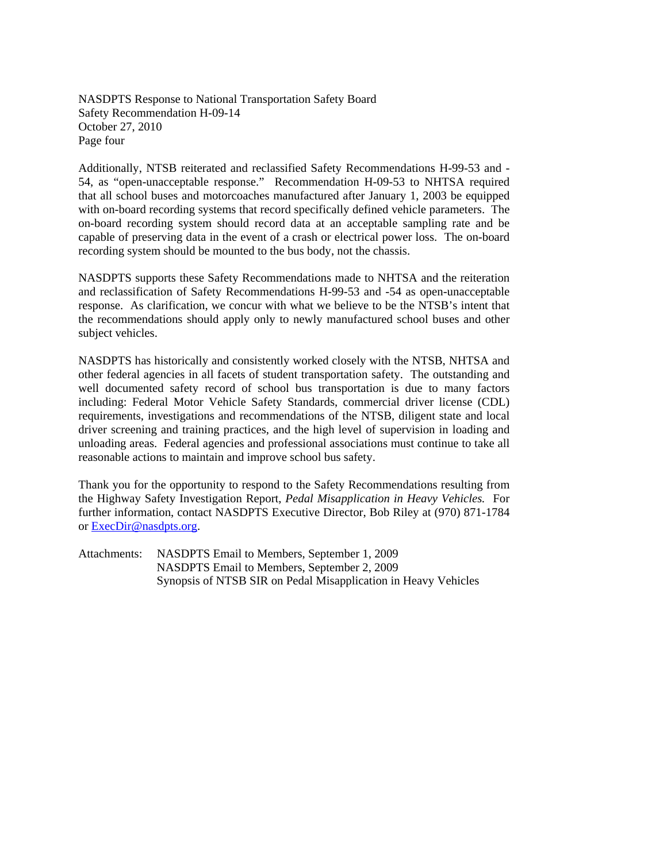NASDPTS Response to National Transportation Safety Board Safety Recommendation H-09-14 October 27, 2010 Page four

Additionally, NTSB reiterated and reclassified Safety Recommendations H-99-53 and - 54, as "open-unacceptable response." Recommendation H-09-53 to NHTSA required that all school buses and motorcoaches manufactured after January 1, 2003 be equipped with on-board recording systems that record specifically defined vehicle parameters. The on-board recording system should record data at an acceptable sampling rate and be capable of preserving data in the event of a crash or electrical power loss. The on-board recording system should be mounted to the bus body, not the chassis.

NASDPTS supports these Safety Recommendations made to NHTSA and the reiteration and reclassification of Safety Recommendations H-99-53 and -54 as open-unacceptable response. As clarification, we concur with what we believe to be the NTSB's intent that the recommendations should apply only to newly manufactured school buses and other subject vehicles.

NASDPTS has historically and consistently worked closely with the NTSB, NHTSA and other federal agencies in all facets of student transportation safety. The outstanding and well documented safety record of school bus transportation is due to many factors including: Federal Motor Vehicle Safety Standards, commercial driver license (CDL) requirements, investigations and recommendations of the NTSB, diligent state and local driver screening and training practices, and the high level of supervision in loading and unloading areas. Federal agencies and professional associations must continue to take all reasonable actions to maintain and improve school bus safety.

Thank you for the opportunity to respond to the Safety Recommendations resulting from the Highway Safety Investigation Report, *Pedal Misapplication in Heavy Vehicles.* For further information, contact NASDPTS Executive Director, Bob Riley at (970) 871-1784 or ExecDir@nasdpts.org.

Attachments: NASDPTS Email to Members, September 1, 2009 NASDPTS Email to Members, September 2, 2009 Synopsis of NTSB SIR on Pedal Misapplication in Heavy Vehicles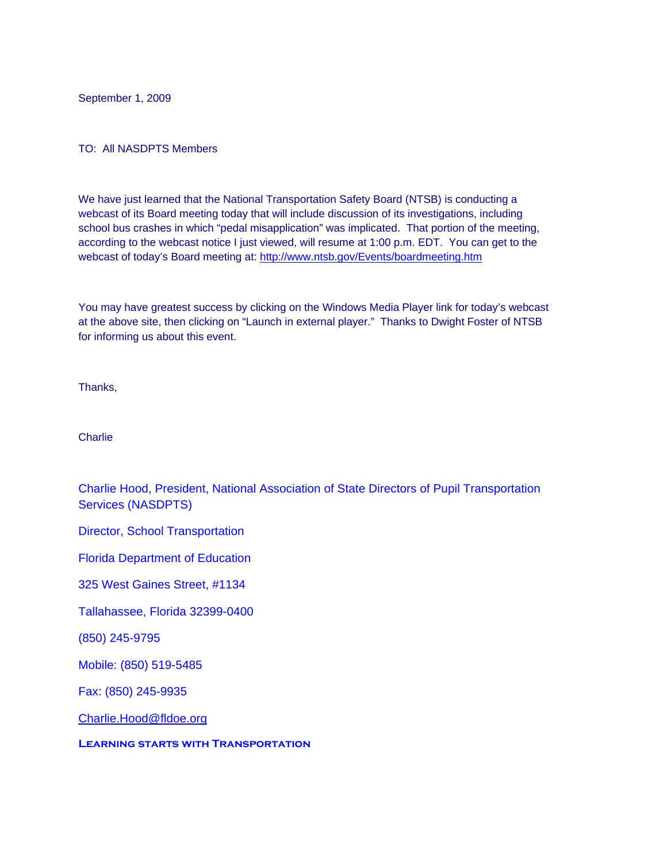September 1, 2009

## TO: All NASDPTS Members

We have just learned that the National Transportation Safety Board (NTSB) is conducting a webcast of its Board meeting today that will include discussion of its investigations, including school bus crashes in which "pedal misapplication" was implicated. That portion of the meeting, according to the webcast notice I just viewed, will resume at 1:00 p.m. EDT. You can get to the webcast of today's Board meeting at: http://www.ntsb.gov/Events/boardmeeting.htm

You may have greatest success by clicking on the Windows Media Player link for today's webcast at the above site, then clicking on "Launch in external player." Thanks to Dwight Foster of NTSB for informing us about this event.

Thanks,

**Charlie** 

Charlie Hood, President, National Association of State Directors of Pupil Transportation Services (NASDPTS)

Director, School Transportation

Florida Department of Education

325 West Gaines Street, #1134

Tallahassee, Florida 32399-0400

(850) 245-9795

Mobile: (850) 519-5485

Fax: (850) 245-9935

Charlie.Hood@fldoe.org

**Learning starts with Transportation**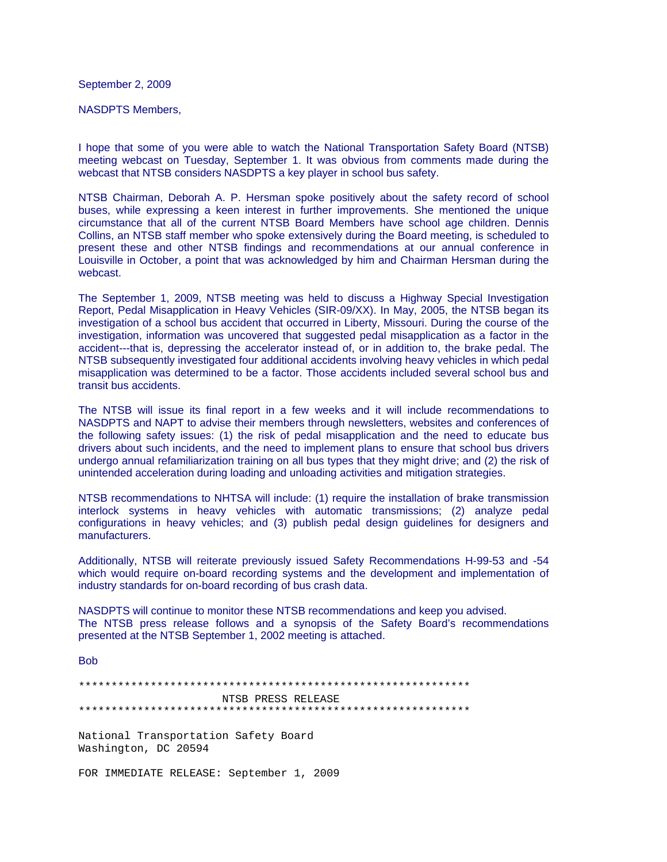September 2, 2009

NASDPTS Members,

I hope that some of you were able to watch the National Transportation Safety Board (NTSB) meeting webcast on Tuesday, September 1. It was obvious from comments made during the webcast that NTSB considers NASDPTS a key player in school bus safety.

NTSB Chairman, Deborah A. P. Hersman spoke positively about the safety record of school buses, while expressing a keen interest in further improvements. She mentioned the unique circumstance that all of the current NTSB Board Members have school age children. Dennis Collins, an NTSB staff member who spoke extensively during the Board meeting, is scheduled to present these and other NTSB findings and recommendations at our annual conference in Louisville in October, a point that was acknowledged by him and Chairman Hersman during the webcast.

The September 1, 2009, NTSB meeting was held to discuss a Highway Special Investigation Report, Pedal Misapplication in Heavy Vehicles (SIR-09/XX). In May, 2005, the NTSB began its investigation of a school bus accident that occurred in Liberty, Missouri. During the course of the investigation, information was uncovered that suggested pedal misapplication as a factor in the accident---that is, depressing the accelerator instead of, or in addition to, the brake pedal. The NTSB subsequently investigated four additional accidents involving heavy vehicles in which pedal misapplication was determined to be a factor. Those accidents included several school bus and transit bus accidents.

The NTSB will issue its final report in a few weeks and it will include recommendations to NASDPTS and NAPT to advise their members through newsletters, websites and conferences of the following safety issues: (1) the risk of pedal misapplication and the need to educate bus drivers about such incidents, and the need to implement plans to ensure that school bus drivers undergo annual refamiliarization training on all bus types that they might drive; and (2) the risk of unintended acceleration during loading and unloading activities and mitigation strategies.

NTSB recommendations to NHTSA will include: (1) require the installation of brake transmission interlock systems in heavy vehicles with automatic transmissions; (2) analyze pedal configurations in heavy vehicles; and (3) publish pedal design guidelines for designers and manufacturers.

Additionally, NTSB will reiterate previously issued Safety Recommendations H-99-53 and -54 which would require on-board recording systems and the development and implementation of industry standards for on-board recording of bus crash data.

NASDPTS will continue to monitor these NTSB recommendations and keep you advised. The NTSB press release follows and a synopsis of the Safety Board's recommendations presented at the NTSB September 1, 2002 meeting is attached.

Bob

\*\*\*\*\*\*\*\*\*\*\*\*\*\*\*\*\*\*\*\*\*\*\*\*\*\*\*\*\*\*\*\*\*\*\*\*\*\*\*\*\*\*\*\*\*\*\*\*\*\*\*\*\*\*\*\*\*\*\*\* NTSB PRESS RELEASE \*\*\*\*\*\*\*\*\*\*\*\*\*\*\*\*\*\*\*\*\*\*\*\*\*\*\*\*\*\*\*\*\*\*\*\*\*\*\*\*\*\*\*\*\*\*\*\*\*\*\*\*\*\*\*\*\*\*\*\*

National Transportation Safety Board Washington, DC 20594

FOR IMMEDIATE RELEASE: September 1, 2009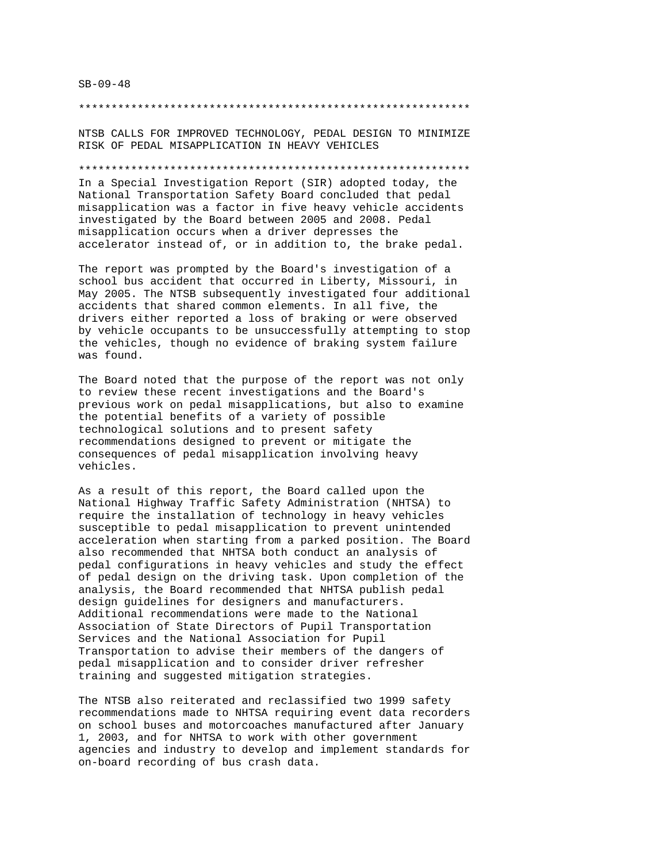## SB-09-48

#### \*\*\*\*\*\*\*\*\*\*\*\*\*\*\*\*\*\*\*\*\*\*\*\*\*\*\*\*\*\*\*\*\*\*\*\*\*\*\*\*\*\*\*\*\*\*\*\*\*\*\*\*\*\*\*\*\*\*\*\*

NTSB CALLS FOR IMPROVED TECHNOLOGY, PEDAL DESIGN TO MINIMIZE RISK OF PEDAL MISAPPLICATION IN HEAVY VEHICLES

### \*\*\*\*\*\*\*\*\*\*\*\*\*\*\*\*\*\*\*\*\*\*\*\*\*\*\*\*\*\*\*\*\*\*\*\*\*\*\*\*\*\*\*\*\*\*\*\*\*\*\*\*\*\*\*\*\*\*\*\*

In a Special Investigation Report (SIR) adopted today, the National Transportation Safety Board concluded that pedal misapplication was a factor in five heavy vehicle accidents investigated by the Board between 2005 and 2008. Pedal misapplication occurs when a driver depresses the accelerator instead of, or in addition to, the brake pedal.

The report was prompted by the Board's investigation of a school bus accident that occurred in Liberty, Missouri, in May 2005. The NTSB subsequently investigated four additional accidents that shared common elements. In all five, the drivers either reported a loss of braking or were observed by vehicle occupants to be unsuccessfully attempting to stop the vehicles, though no evidence of braking system failure was found.

The Board noted that the purpose of the report was not only to review these recent investigations and the Board's previous work on pedal misapplications, but also to examine the potential benefits of a variety of possible technological solutions and to present safety recommendations designed to prevent or mitigate the consequences of pedal misapplication involving heavy vehicles.

As a result of this report, the Board called upon the National Highway Traffic Safety Administration (NHTSA) to require the installation of technology in heavy vehicles susceptible to pedal misapplication to prevent unintended acceleration when starting from a parked position. The Board also recommended that NHTSA both conduct an analysis of pedal configurations in heavy vehicles and study the effect of pedal design on the driving task. Upon completion of the analysis, the Board recommended that NHTSA publish pedal design guidelines for designers and manufacturers. Additional recommendations were made to the National Association of State Directors of Pupil Transportation Services and the National Association for Pupil Transportation to advise their members of the dangers of pedal misapplication and to consider driver refresher training and suggested mitigation strategies.

The NTSB also reiterated and reclassified two 1999 safety recommendations made to NHTSA requiring event data recorders on school buses and motorcoaches manufactured after January 1, 2003, and for NHTSA to work with other government agencies and industry to develop and implement standards for on-board recording of bus crash data.